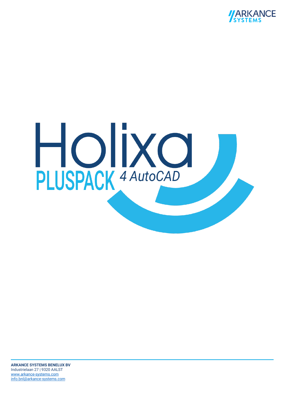

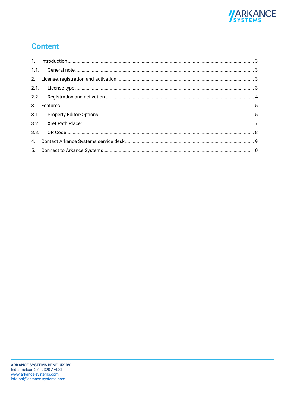

# **Content**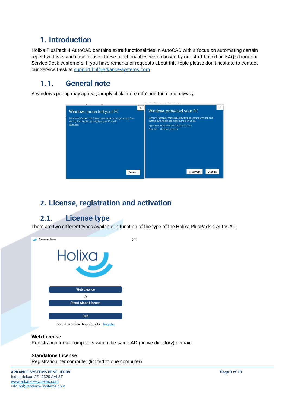### <span id="page-2-0"></span>**1. Introduction**

Holixa PlusPack 4 AutoCAD contains extra functionalities in AutoCAD with a focus on automating certain repetitive tasks and ease of use. These functionalities were chosen by our staff based on FAQ's from our Service Desk customers. If you have remarks or requests about this topic please don't hesitate to contact our Service Desk at [support.bnl@arkance-systems.com.](mailto:support.bnl@arkance-systems.com)

### <span id="page-2-1"></span>**1.1. General note**

A windows popup may appear, simply click 'more info' and then 'run anyway'.



### <span id="page-2-2"></span>**2. License, registration and activation**

### <span id="page-2-3"></span>**2.1. License type**

There are two different types available in function of the type of the Holixa PlusPack 4 AutoCAD:



**Web License**

Registration for all computers within the same AD (active directory) domain

#### **Standalone License**

Registration per computer (limited to one computer)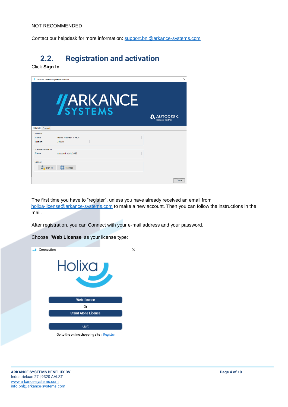Contact our helpdesk for more information: [support.bnl@arkance-systems.com](mailto:support.bnl@arkance-systems.com)

# <span id="page-3-0"></span>**2.2. Registration and activation**

Click **Sign In**

|                         | About - Arkance Systems Product | ×                                          |
|-------------------------|---------------------------------|--------------------------------------------|
|                         | <b>JARKANCE</b>                 | <b>AUTODESK</b><br><b>Platinum Partner</b> |
| Product Contact         |                                 |                                            |
| Product                 |                                 |                                            |
| Name:                   | <b>Holixa PlusPack 4 Vault</b>  |                                            |
| Version:                | 2022.0                          |                                            |
| <b>Autodesk Product</b> |                                 |                                            |
| Name:                   | Autodesk Vault 2022             |                                            |
| License<br>Sign In      | <b>Manage</b>                   |                                            |
|                         |                                 | Close                                      |

The first time you have to "register", unless you have already received an email from [holixa-license@arkance-systems.com](mailto:holixa-license@arkance-systems.com) to make a new account. Then you can follow the instructions in the mail.

After registration, you can Connect with your e-mail address and your password.

Choose '**Web License**' as your license type:

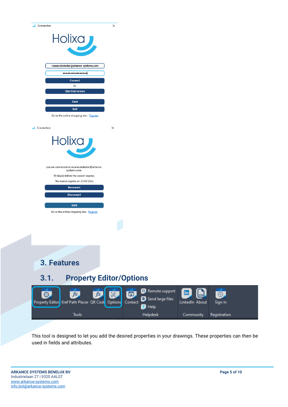| Connection                                                                                             | ×                                        |                      |
|--------------------------------------------------------------------------------------------------------|------------------------------------------|----------------------|
| Holixa                                                                                                 |                                          |                      |
| rosane.dedecker@arkance-systems.com<br>****************<br><b>Connect</b>                              |                                          |                      |
| Or<br><b>Start trial version</b>                                                                       |                                          |                      |
| <b>Back</b><br>Quit<br>Go to the online shopping site: Register                                        |                                          |                      |
| Connection                                                                                             | ×                                        |                      |
| Holixa                                                                                                 |                                          |                      |
| you are connected as rosane.dedecker@arkance-<br>systems.com.<br>90 day(s) before the session expires. |                                          |                      |
| The licence expires on 27/04/2023.<br>Reconnect                                                        |                                          |                      |
| <b>Disconnect</b>                                                                                      |                                          |                      |
| <b>Back</b>                                                                                            |                                          |                      |
| Go to the online shopping site: Register                                                               |                                          |                      |
|                                                                                                        |                                          |                      |
|                                                                                                        |                                          |                      |
|                                                                                                        |                                          |                      |
| 3. Features                                                                                            |                                          |                      |
| <b>Property Editor/Options</b><br>3.1.                                                                 |                                          |                      |
| fx<br>O.<br>fx<br>Property Editor Xref Path Placer QR Code Options Contact                             | Remote support<br>夙。<br>Send large files | İn<br>LinkedIn About |

<span id="page-4-1"></span><span id="page-4-0"></span> $\Theta$ Sign In  $\blacksquare$  Help Tools Helpdesk Community Registration

This tool is designed to let you add the desired properties in your drawings. These properties can then be used in fields and attributes.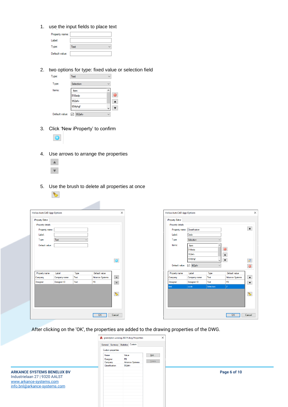1. use the input fields to place text

| Property name: |      |  |
|----------------|------|--|
| Label:         |      |  |
| Type:          | Text |  |
| Default value: |      |  |

2. two options for type: fixed value or selection field

| Type:          | Text              | $\checkmark$ |
|----------------|-------------------|--------------|
| Type:          | Selection         |              |
| Items:         | kem               | ᄉ            |
|                | 158adp<br>952efv  | e            |
|                |                   |              |
|                | ------<br>654yhgf |              |
| Default value: | 952efv            |              |

3. Click 'New iProperty' to confirm



- 4. Use arrows to arrange the properties
	- $\mathbbm{A}$  $\boldsymbol{\mathrm{v}}$

 $\bullet$ 

5. Use the brush to delete all properties at once

| Holixa AutoCAD App Options                                                                   |              |              |                 | $\times$                                                                                                                                                                                                                                                                                                                                            |
|----------------------------------------------------------------------------------------------|--------------|--------------|-----------------|-----------------------------------------------------------------------------------------------------------------------------------------------------------------------------------------------------------------------------------------------------------------------------------------------------------------------------------------------------|
| iProperty Editor<br>iProperty details<br>Property name:<br>Label:<br>Type:<br>Default value: | Text         | $\checkmark$ |                 | $\overline{\odot}$                                                                                                                                                                                                                                                                                                                                  |
| Property name                                                                                | Label        | Type         | Default value   |                                                                                                                                                                                                                                                                                                                                                     |
| Company                                                                                      | Company name | Text         | Arkance Systems | $\blacktriangle$                                                                                                                                                                                                                                                                                                                                    |
| Designer                                                                                     | Designer ID  | Text         | PB              | $\overline{\mathbf{v}}$                                                                                                                                                                                                                                                                                                                             |
|                                                                                              |              |              |                 |                                                                                                                                                                                                                                                                                                                                                     |
|                                                                                              |              |              |                 | $\begin{picture}(220,20) \put(0,0){\line(1,0){10}} \put(15,0){\line(1,0){10}} \put(15,0){\line(1,0){10}} \put(15,0){\line(1,0){10}} \put(15,0){\line(1,0){10}} \put(15,0){\line(1,0){10}} \put(15,0){\line(1,0){10}} \put(15,0){\line(1,0){10}} \put(15,0){\line(1,0){10}} \put(15,0){\line(1,0){10}} \put(15,0){\line(1,0){10}} \put(15,0){\line($ |
|                                                                                              |              |              | OK              | Cancel                                                                                                                                                                                                                                                                                                                                              |

After clicking on the 'OK', the properties are added to the drawing properties of the DWG.

|                                                                                                                               | A grondplan woning 2021f.dwg Properties                                                                                                                     | $\times$      |              |
|-------------------------------------------------------------------------------------------------------------------------------|-------------------------------------------------------------------------------------------------------------------------------------------------------------|---------------|--------------|
|                                                                                                                               | General Summary Statistics Custom<br>Custom properties:<br>Value<br>Name<br>PB<br>Designer<br><b>Arkance Systems</b><br>Company<br>952efv<br>Classification | Add<br>Delete |              |
| <b>ARKANCE SYSTEMS BENELUX BV</b><br>Industrielaan 27   9320 AALST<br>www.arkance-systems.com<br>info.bnl@arkance-systems.com |                                                                                                                                                             |               | Page 6 of 10 |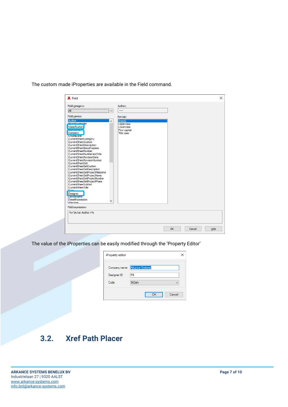| A Field                                                                                                                                                                                                                                                                                                                                                                                                                                                                                                                                                                                                                                                      |                                                                               | $\times$             |
|--------------------------------------------------------------------------------------------------------------------------------------------------------------------------------------------------------------------------------------------------------------------------------------------------------------------------------------------------------------------------------------------------------------------------------------------------------------------------------------------------------------------------------------------------------------------------------------------------------------------------------------------------------------|-------------------------------------------------------------------------------|----------------------|
| Field category:<br>All<br>Field names:                                                                                                                                                                                                                                                                                                                                                                                                                                                                                                                                                                                                                       | Author:<br>$\overline{\phantom{a}}$<br>Format:                                |                      |
| Author<br><b>PlockDiscobolder</b><br>Classification<br>Company<br><b>CreateDate</b><br>CurrentSheetCategory<br>CurrentSheetCustom<br>CurrentSheetDescription<br>CurrentSheetIssuePurpose<br>CurrentSheetNumber<br>CurrentSheetNumberAndTitle<br>CurrentSheetRevisionDate<br>CurrentSheetRevisionNumber<br>CurrentSheetSet<br>CurrentSheetSetCustom<br>CurrentSheetSetDescription<br>CurrentSheetSetProjectMilestone<br>CurrentSheetSetProjectName<br>CurrentSheetSetProjectNumber<br>CurrentSheetSetProjectPhase<br>CurrentSheetSubSet<br>CurrentSheetTitle<br><b>Date</b><br>Designer<br><b>Deviceivame</b><br>DieselExpression<br>$\checkmark$<br>Filansma | (none)<br>Uppercase<br>Lowercase<br><b>First capital</b><br><b>Title case</b> |                      |
| Field expression:<br>% <vacvar author="">%</vacvar>                                                                                                                                                                                                                                                                                                                                                                                                                                                                                                                                                                                                          |                                                                               |                      |
|                                                                                                                                                                                                                                                                                                                                                                                                                                                                                                                                                                                                                                                              |                                                                               | OK<br>Cancel<br>Help |

The custom made iProperties are available in the Field command.

The value of the iProperties can be easily modified through the 'Property Editor'

| iProperty editor |                        |  |  |  |
|------------------|------------------------|--|--|--|
| Company name     | <b>Arkance Systems</b> |  |  |  |
| Designer ID      | PB                     |  |  |  |
| Code             | 952efv<br>$\checkmark$ |  |  |  |
|                  | Cancel<br>OK           |  |  |  |

# <span id="page-6-0"></span>**3.2. Xref Path Placer**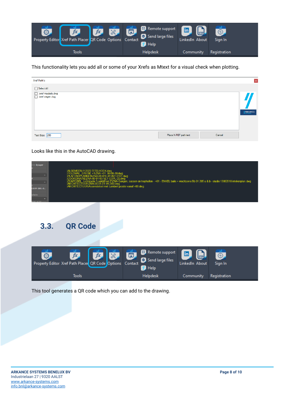

This functionality lets you add all or some of your Xrefs as Mtext for a visual check when plotting.

| Xref Path's                                                                           |                                 | $\vert$ x       |
|---------------------------------------------------------------------------------------|---------------------------------|-----------------|
| $\Box$ Select All<br>No. verf meubels.dwg<br>No. verf wagen.dwg<br>.\xref meubels.dwg |                                 | <b>VARKANCE</b> |
| Text Size: 250                                                                        | Cancel<br>Place X-REF path text |                 |

Looks like this in the AutoCAD drawing.

<span id="page-7-0"></span>

| ByLayer<br><b>CLEUR GEEL-G.</b><br>silable | ALGEMEEN 112070 TITELHOEK dwg<br>6-08-18.dwg<br>-0101.dwg<br>PL (2).dwa<br>2'⊻NÄ Gangen, sassen en traphallen - +01 - ENKEL balie + wachtzone Bb 01 205 a & b - studie 13082018 intekenplan.dwg i<br>-01-VK-060.dwg<br>ITECTUUR\Assenstelsel met Lambert positie vanaf +00.dwg |
|--------------------------------------------|--------------------------------------------------------------------------------------------------------------------------------------------------------------------------------------------------------------------------------------------------------------------------------|
| 3.3.                                       | <b>QR Code</b>                                                                                                                                                                                                                                                                 |
| O.                                         | Remote support<br>in<br>fx<br>fx<br>$\aleph$<br>同。<br>⊕<br>Send large files<br>Property Editor Xref Path Placer QR Code Options<br>Contact<br>LinkedIn About<br>Sign In<br><b>Help</b>                                                                                         |

Helpdesk

Community

Registration

This tool generates a QR code which you can add to the drawing.

Tools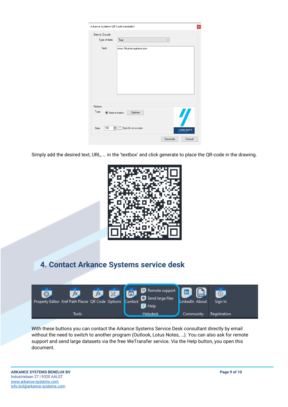| Arkance Systems QR Code Generator<br>$\mathbf{x}$ |                         |                                      |  |  |
|---------------------------------------------------|-------------------------|--------------------------------------|--|--|
| Data to Encode                                    |                         |                                      |  |  |
| Type of data                                      | Text                    | $\checkmark$                         |  |  |
| Text:                                             | www.Arkance-systems.com |                                      |  |  |
| Options<br>Type<br>◉ Native Hatch                 | Options                 | $\boldsymbol{\eta}$                  |  |  |
| 180<br>Size                                       | Specify on-screen       | <b>ARKANCE</b><br>Generate<br>Cancel |  |  |

Simply add the desired text, URL, … in the 'textbox' and click generate to place the QR-code in the drawing.



## <span id="page-8-0"></span>**4. Contact Arkance Systems service desk**



With these buttons you can contact the Arkance Systems Service Desk consultant directly by email without the need to switch to another program (Outlook, Lotus Notes, …). You can also ask for remote support and send large datasets via the free WeTransfer service. Via the Help button, you open this document.